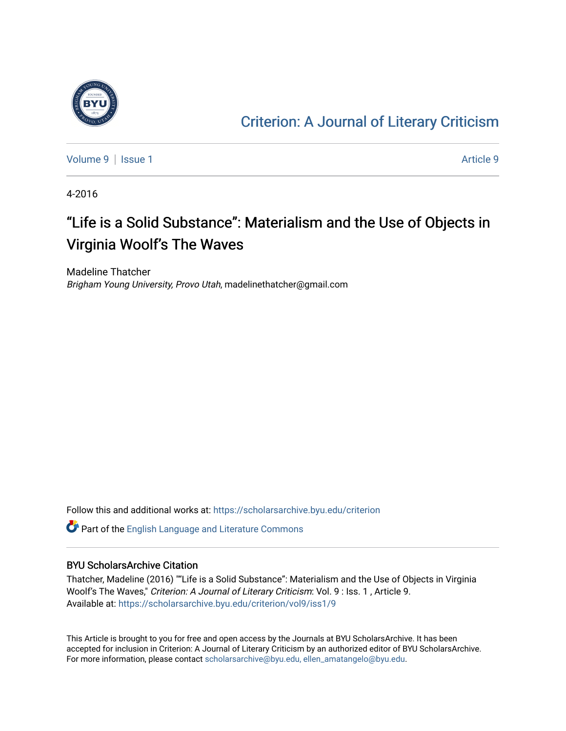

### [Criterion: A Journal of Literary Criticism](https://scholarsarchive.byu.edu/criterion)

[Volume 9](https://scholarsarchive.byu.edu/criterion/vol9) | [Issue 1](https://scholarsarchive.byu.edu/criterion/vol9/iss1) [Article 9](https://scholarsarchive.byu.edu/criterion/vol9/iss1/9) | Article 9 | Article 9 | Article 9 | Article 9 | Article 9 | Article 9 | Article 9

4-2016

### "Life is a Solid Substance": Materialism and the Use of Objects in Virginia Woolf's The Waves

Madeline Thatcher Brigham Young University, Provo Utah, madelinethatcher@gmail.com

Follow this and additional works at: [https://scholarsarchive.byu.edu/criterion](https://scholarsarchive.byu.edu/criterion?utm_source=scholarsarchive.byu.edu%2Fcriterion%2Fvol9%2Fiss1%2F9&utm_medium=PDF&utm_campaign=PDFCoverPages) 

Part of the [English Language and Literature Commons](http://network.bepress.com/hgg/discipline/455?utm_source=scholarsarchive.byu.edu%2Fcriterion%2Fvol9%2Fiss1%2F9&utm_medium=PDF&utm_campaign=PDFCoverPages)

### BYU ScholarsArchive Citation

Thatcher, Madeline (2016) ""Life is a Solid Substance": Materialism and the Use of Objects in Virginia Woolf's The Waves," Criterion: A Journal of Literary Criticism: Vol. 9 : Iss. 1 , Article 9. Available at: [https://scholarsarchive.byu.edu/criterion/vol9/iss1/9](https://scholarsarchive.byu.edu/criterion/vol9/iss1/9?utm_source=scholarsarchive.byu.edu%2Fcriterion%2Fvol9%2Fiss1%2F9&utm_medium=PDF&utm_campaign=PDFCoverPages) 

This Article is brought to you for free and open access by the Journals at BYU ScholarsArchive. It has been accepted for inclusion in Criterion: A Journal of Literary Criticism by an authorized editor of BYU ScholarsArchive. For more information, please contact [scholarsarchive@byu.edu, ellen\\_amatangelo@byu.edu](mailto:scholarsarchive@byu.edu,%20ellen_amatangelo@byu.edu).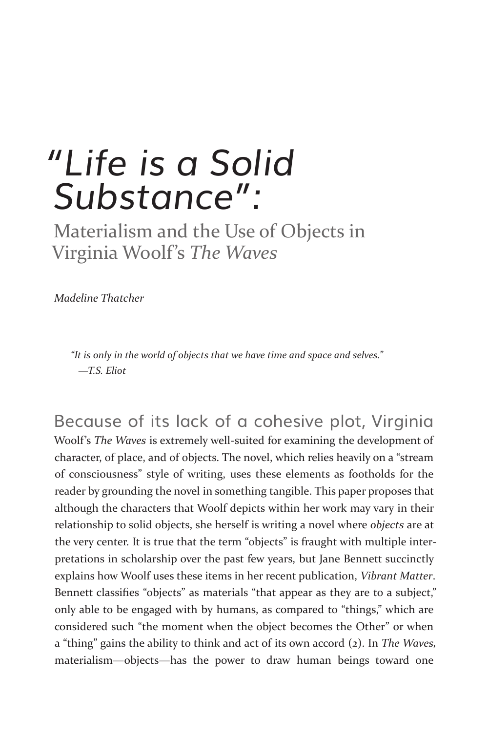# *"Life is a Solid Substance":*

Materialism and the Use of Objects in Virginia Woolf's *The Waves*

*Madeline Thatcher*

*"It is only in the world of objects that we have time and space and selves." —T.S. Eliot*

Because of its lack of a cohesive plot, Virginia Woolf's *The Waves* is extremely well-suited for examining the development of character, of place, and of objects. The novel, which relies heavily on a "stream of consciousness" style of writing, uses these elements as footholds for the reader by grounding the novel in something tangible. This paper proposes that although the characters that Woolf depicts within her work may vary in their relationship to solid objects, she herself is writing a novel where *objects* are at the very center. It is true that the term "objects" is fraught with multiple interpretations in scholarship over the past few years, but Jane Bennett succinctly explains how Woolf uses these items in her recent publication, *Vibrant Matter*. Bennett classifies "objects" as materials "that appear as they are to a subject," only able to be engaged with by humans, as compared to "things," which are considered such "the moment when the object becomes the Other" or when a "thing" gains the ability to think and act of its own accord (2). In *The Waves,*  materialism—objects—has the power to draw human beings toward one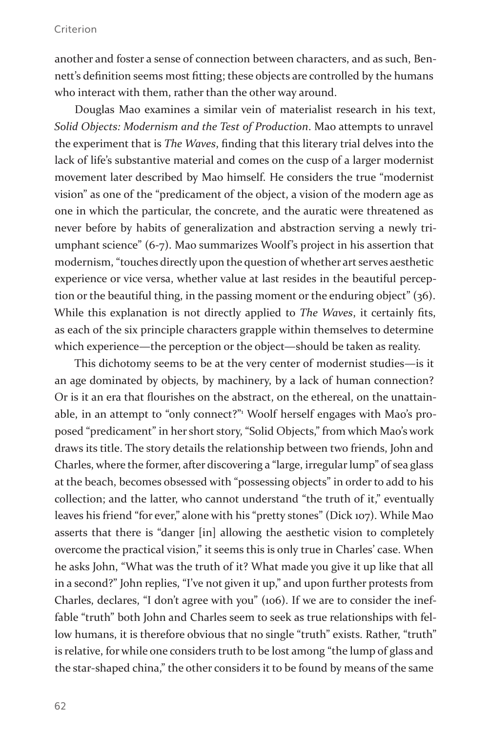another and foster a sense of connection between characters, and as such, Bennett's definition seems most fitting; these objects are controlled by the humans who interact with them, rather than the other way around.

Douglas Mao examines a similar vein of materialist research in his text, *Solid Objects: Modernism and the Test of Production*. Mao attempts to unravel the experiment that is *The Waves*, finding that this literary trial delves into the lack of life's substantive material and comes on the cusp of a larger modernist movement later described by Mao himself. He considers the true "modernist vision" as one of the "predicament of the object, a vision of the modern age as one in which the particular, the concrete, and the auratic were threatened as never before by habits of generalization and abstraction serving a newly triumphant science" (6-7). Mao summarizes Woolf's project in his assertion that modernism, "touches directly upon the question of whether art serves aesthetic experience or vice versa, whether value at last resides in the beautiful perception or the beautiful thing, in the passing moment or the enduring object" (36). While this explanation is not directly applied to *The Waves*, it certainly fits, as each of the six principle characters grapple within themselves to determine which experience—the perception or the object—should be taken as reality.

This dichotomy seems to be at the very center of modernist studies—is it an age dominated by objects, by machinery, by a lack of human connection? Or is it an era that flourishes on the abstract, on the ethereal, on the unattainable, in an attempt to "only connect?"<sup>1</sup> Woolf herself engages with Mao's proposed "predicament" in her short story, "Solid Objects," from which Mao's work draws its title. The story details the relationship between two friends, John and Charles, where the former, after discovering a "large, irregular lump" of sea glass at the beach, becomes obsessed with "possessing objects" in order to add to his collection; and the latter, who cannot understand "the truth of it," eventually leaves his friend "for ever," alone with his "pretty stones" (Dick 107). While Mao asserts that there is "danger [in] allowing the aesthetic vision to completely overcome the practical vision," it seems this is only true in Charles' case. When he asks John, "What was the truth of it? What made you give it up like that all in a second?" John replies, "I've not given it up," and upon further protests from Charles, declares, "I don't agree with you" (106). If we are to consider the ineffable "truth" both John and Charles seem to seek as true relationships with fellow humans, it is therefore obvious that no single "truth" exists. Rather, "truth" is relative, for while one considers truth to be lost among "the lump of glass and the star-shaped china," the other considers it to be found by means of the same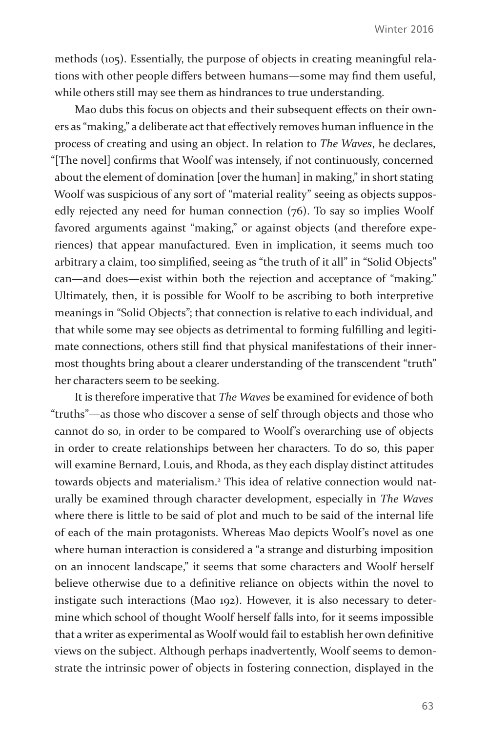methods (105). Essentially, the purpose of objects in creating meaningful relations with other people differs between humans—some may find them useful, while others still may see them as hindrances to true understanding.

Mao dubs this focus on objects and their subsequent effects on their owners as "making," a deliberate act that effectively removes human influence in the process of creating and using an object. In relation to *The Waves*, he declares, "[The novel] confirms that Woolf was intensely, if not continuously, concerned about the element of domination [over the human] in making," in short stating Woolf was suspicious of any sort of "material reality" seeing as objects supposedly rejected any need for human connection (76). To say so implies Woolf favored arguments against "making," or against objects (and therefore experiences) that appear manufactured. Even in implication, it seems much too arbitrary a claim, too simplified, seeing as "the truth of it all" in "Solid Objects" can—and does—exist within both the rejection and acceptance of "making." Ultimately, then, it is possible for Woolf to be ascribing to both interpretive meanings in "Solid Objects"; that connection is relative to each individual, and that while some may see objects as detrimental to forming fulfilling and legitimate connections, others still find that physical manifestations of their innermost thoughts bring about a clearer understanding of the transcendent "truth" her characters seem to be seeking.

It is therefore imperative that *The Waves* be examined for evidence of both "truths"—as those who discover a sense of self through objects and those who cannot do so, in order to be compared to Woolf's overarching use of objects in order to create relationships between her characters. To do so, this paper will examine Bernard, Louis, and Rhoda, as they each display distinct attitudes towards objects and materialism.<sup>2</sup> This idea of relative connection would naturally be examined through character development, especially in *The Waves* where there is little to be said of plot and much to be said of the internal life of each of the main protagonists. Whereas Mao depicts Woolf's novel as one where human interaction is considered a "a strange and disturbing imposition on an innocent landscape," it seems that some characters and Woolf herself believe otherwise due to a definitive reliance on objects within the novel to instigate such interactions (Mao 192). However, it is also necessary to determine which school of thought Woolf herself falls into, for it seems impossible that a writer as experimental as Woolf would fail to establish her own definitive views on the subject. Although perhaps inadvertently, Woolf seems to demonstrate the intrinsic power of objects in fostering connection, displayed in the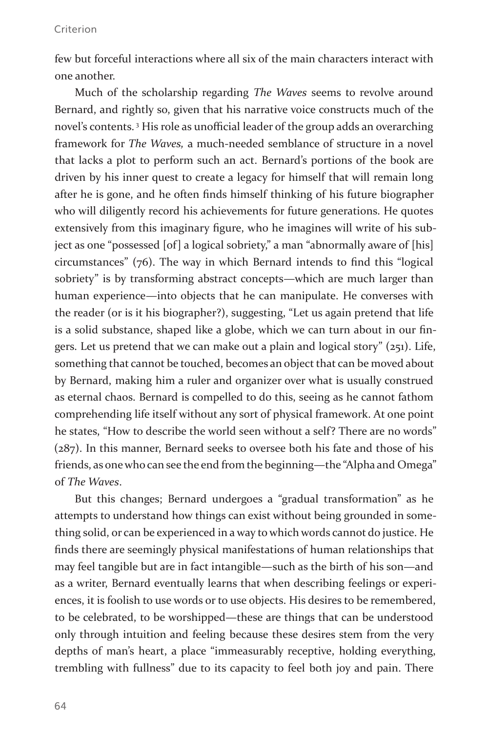few but forceful interactions where all six of the main characters interact with one another.

Much of the scholarship regarding *The Waves* seems to revolve around Bernard, and rightly so, given that his narrative voice constructs much of the novel's contents. 3 His role as unofficial leader of the group adds an overarching framework for *The Waves,* a much-needed semblance of structure in a novel that lacks a plot to perform such an act. Bernard's portions of the book are driven by his inner quest to create a legacy for himself that will remain long after he is gone, and he often finds himself thinking of his future biographer who will diligently record his achievements for future generations. He quotes extensively from this imaginary figure, who he imagines will write of his subject as one "possessed [of] a logical sobriety," a man "abnormally aware of [his] circumstances" (76). The way in which Bernard intends to find this "logical sobriety" is by transforming abstract concepts—which are much larger than human experience—into objects that he can manipulate. He converses with the reader (or is it his biographer?), suggesting, "Let us again pretend that life is a solid substance, shaped like a globe, which we can turn about in our fingers. Let us pretend that we can make out a plain and logical story" (251). Life, something that cannot be touched, becomes an object that can be moved about by Bernard, making him a ruler and organizer over what is usually construed as eternal chaos. Bernard is compelled to do this, seeing as he cannot fathom comprehending life itself without any sort of physical framework. At one point he states, "How to describe the world seen without a self? There are no words" (287). In this manner, Bernard seeks to oversee both his fate and those of his friends, as one who can see the end from the beginning—the "Alpha and Omega" of *The Waves*.

But this changes; Bernard undergoes a "gradual transformation" as he attempts to understand how things can exist without being grounded in something solid, or can be experienced in a way to which words cannot do justice. He finds there are seemingly physical manifestations of human relationships that may feel tangible but are in fact intangible—such as the birth of his son—and as a writer, Bernard eventually learns that when describing feelings or experiences, it is foolish to use words or to use objects. His desires to be remembered, to be celebrated, to be worshipped—these are things that can be understood only through intuition and feeling because these desires stem from the very depths of man's heart, a place "immeasurably receptive, holding everything, trembling with fullness" due to its capacity to feel both joy and pain. There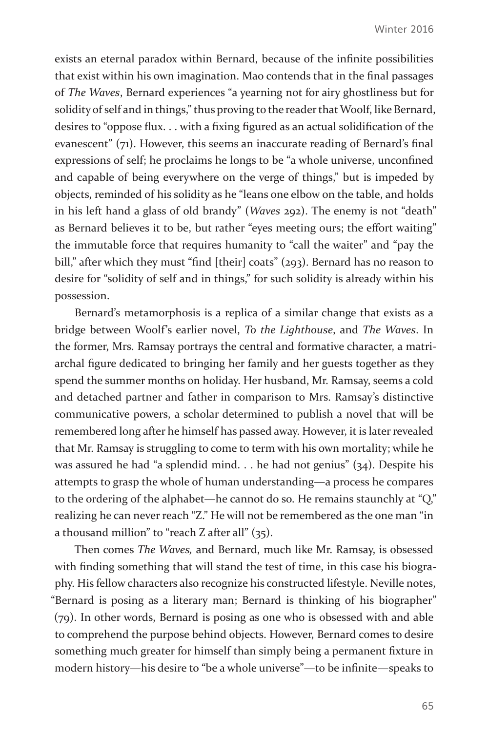exists an eternal paradox within Bernard, because of the infinite possibilities that exist within his own imagination. Mao contends that in the final passages of *The Waves*, Bernard experiences "a yearning not for airy ghostliness but for solidity of self and in things," thus proving to the reader that Woolf, like Bernard, desires to "oppose flux. . . with a fixing figured as an actual solidification of the evanescent" (71). However, this seems an inaccurate reading of Bernard's final expressions of self; he proclaims he longs to be "a whole universe, unconfined and capable of being everywhere on the verge of things," but is impeded by objects, reminded of his solidity as he "leans one elbow on the table, and holds in his left hand a glass of old brandy" (*Waves* 292). The enemy is not "death" as Bernard believes it to be, but rather "eyes meeting ours; the effort waiting" the immutable force that requires humanity to "call the waiter" and "pay the bill," after which they must "find [their] coats" (293). Bernard has no reason to desire for "solidity of self and in things," for such solidity is already within his possession.

Bernard's metamorphosis is a replica of a similar change that exists as a bridge between Woolf's earlier novel, *To the Lighthouse*, and *The Waves*. In the former, Mrs. Ramsay portrays the central and formative character, a matriarchal figure dedicated to bringing her family and her guests together as they spend the summer months on holiday. Her husband, Mr. Ramsay, seems a cold and detached partner and father in comparison to Mrs. Ramsay's distinctive communicative powers, a scholar determined to publish a novel that will be remembered long after he himself has passed away. However, it is later revealed that Mr. Ramsay is struggling to come to term with his own mortality; while he was assured he had "a splendid mind. . . he had not genius" (34). Despite his attempts to grasp the whole of human understanding—a process he compares to the ordering of the alphabet—he cannot do so. He remains staunchly at "Q," realizing he can never reach "Z." He will not be remembered as the one man "in a thousand million" to "reach Z after all" (35).

Then comes *The Waves,* and Bernard, much like Mr. Ramsay, is obsessed with finding something that will stand the test of time, in this case his biography. His fellow characters also recognize his constructed lifestyle. Neville notes, "Bernard is posing as a literary man; Bernard is thinking of his biographer" (79). In other words, Bernard is posing as one who is obsessed with and able to comprehend the purpose behind objects. However, Bernard comes to desire something much greater for himself than simply being a permanent fixture in modern history—his desire to "be a whole universe"—to be infinite—speaks to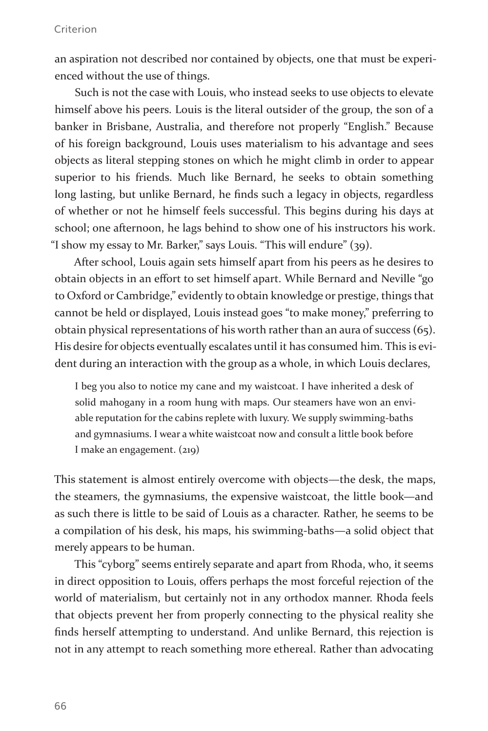an aspiration not described nor contained by objects, one that must be experienced without the use of things.

Such is not the case with Louis, who instead seeks to use objects to elevate himself above his peers. Louis is the literal outsider of the group, the son of a banker in Brisbane, Australia, and therefore not properly "English." Because of his foreign background, Louis uses materialism to his advantage and sees objects as literal stepping stones on which he might climb in order to appear superior to his friends. Much like Bernard, he seeks to obtain something long lasting, but unlike Bernard, he finds such a legacy in objects, regardless of whether or not he himself feels successful. This begins during his days at school; one afternoon, he lags behind to show one of his instructors his work. "I show my essay to Mr. Barker," says Louis. "This will endure" (39).

After school, Louis again sets himself apart from his peers as he desires to obtain objects in an effort to set himself apart. While Bernard and Neville "go to Oxford or Cambridge," evidently to obtain knowledge or prestige, things that cannot be held or displayed, Louis instead goes "to make money," preferring to obtain physical representations of his worth rather than an aura of success (65). His desire for objects eventually escalates until it has consumed him. This is evident during an interaction with the group as a whole, in which Louis declares,

I beg you also to notice my cane and my waistcoat. I have inherited a desk of solid mahogany in a room hung with maps. Our steamers have won an enviable reputation for the cabins replete with luxury. We supply swimming-baths and gymnasiums. I wear a white waistcoat now and consult a little book before I make an engagement. (219)

This statement is almost entirely overcome with objects—the desk, the maps, the steamers, the gymnasiums, the expensive waistcoat, the little book—and as such there is little to be said of Louis as a character. Rather, he seems to be a compilation of his desk, his maps, his swimming-baths—a solid object that merely appears to be human.

This "cyborg" seems entirely separate and apart from Rhoda, who, it seems in direct opposition to Louis, offers perhaps the most forceful rejection of the world of materialism, but certainly not in any orthodox manner. Rhoda feels that objects prevent her from properly connecting to the physical reality she finds herself attempting to understand. And unlike Bernard, this rejection is not in any attempt to reach something more ethereal. Rather than advocating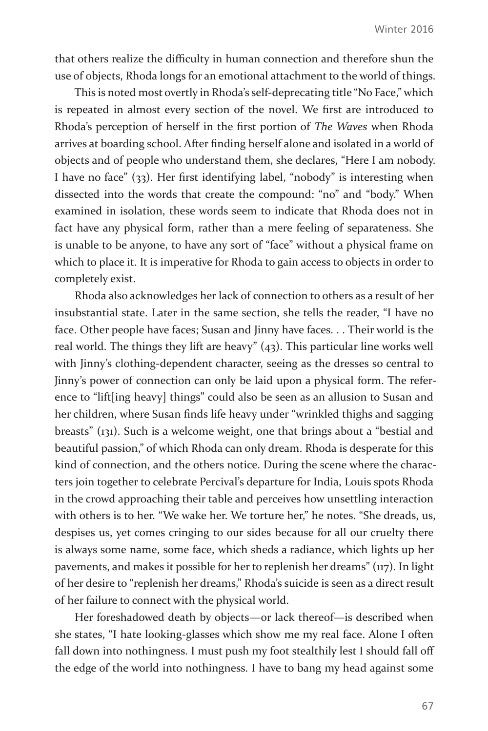that others realize the difficulty in human connection and therefore shun the use of objects, Rhoda longs for an emotional attachment to the world of things.

This is noted most overtly in Rhoda's self-deprecating title "No Face," which is repeated in almost every section of the novel. We first are introduced to Rhoda's perception of herself in the first portion of *The Waves* when Rhoda arrives at boarding school. After finding herself alone and isolated in a world of objects and of people who understand them, she declares, "Here I am nobody. I have no face" (33). Her first identifying label, "nobody" is interesting when dissected into the words that create the compound: "no" and "body." When examined in isolation, these words seem to indicate that Rhoda does not in fact have any physical form, rather than a mere feeling of separateness. She is unable to be anyone, to have any sort of "face" without a physical frame on which to place it. It is imperative for Rhoda to gain access to objects in order to completely exist.

Rhoda also acknowledges her lack of connection to others as a result of her insubstantial state. Later in the same section, she tells the reader, "I have no face. Other people have faces; Susan and Jinny have faces. . . Their world is the real world. The things they lift are heavy" (43). This particular line works well with Jinny's clothing-dependent character, seeing as the dresses so central to Jinny's power of connection can only be laid upon a physical form. The reference to "lift[ing heavy] things" could also be seen as an allusion to Susan and her children, where Susan finds life heavy under "wrinkled thighs and sagging breasts" (131). Such is a welcome weight, one that brings about a "bestial and beautiful passion," of which Rhoda can only dream. Rhoda is desperate for this kind of connection, and the others notice. During the scene where the characters join together to celebrate Percival's departure for India, Louis spots Rhoda in the crowd approaching their table and perceives how unsettling interaction with others is to her. "We wake her. We torture her," he notes. "She dreads, us, despises us, yet comes cringing to our sides because for all our cruelty there is always some name, some face, which sheds a radiance, which lights up her pavements, and makes it possible for her to replenish her dreams" (117). In light of her desire to "replenish her dreams," Rhoda's suicide is seen as a direct result of her failure to connect with the physical world.

Her foreshadowed death by objects—or lack thereof—is described when she states, "I hate looking-glasses which show me my real face. Alone I often fall down into nothingness. I must push my foot stealthily lest I should fall off the edge of the world into nothingness. I have to bang my head against some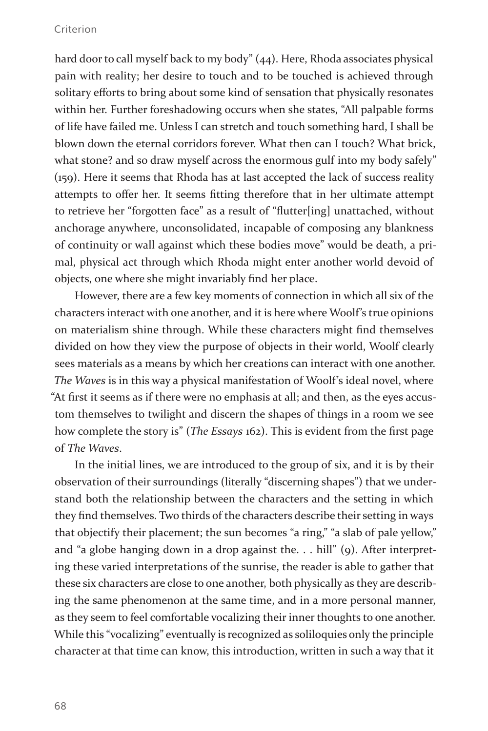hard door to call myself back to my body" (44). Here, Rhoda associates physical pain with reality; her desire to touch and to be touched is achieved through solitary efforts to bring about some kind of sensation that physically resonates within her. Further foreshadowing occurs when she states, "All palpable forms of life have failed me. Unless I can stretch and touch something hard, I shall be blown down the eternal corridors forever. What then can I touch? What brick, what stone? and so draw myself across the enormous gulf into my body safely" (159). Here it seems that Rhoda has at last accepted the lack of success reality attempts to offer her. It seems fitting therefore that in her ultimate attempt to retrieve her "forgotten face" as a result of "flutter[ing] unattached, without anchorage anywhere, unconsolidated, incapable of composing any blankness of continuity or wall against which these bodies move" would be death, a primal, physical act through which Rhoda might enter another world devoid of objects, one where she might invariably find her place.

However, there are a few key moments of connection in which all six of the characters interact with one another, and it is here where Woolf's true opinions on materialism shine through. While these characters might find themselves divided on how they view the purpose of objects in their world, Woolf clearly sees materials as a means by which her creations can interact with one another. *The Waves* is in this way a physical manifestation of Woolf's ideal novel, where "At first it seems as if there were no emphasis at all; and then, as the eyes accustom themselves to twilight and discern the shapes of things in a room we see how complete the story is" (*The Essays* 162). This is evident from the first page of *The Waves*.

In the initial lines, we are introduced to the group of six, and it is by their observation of their surroundings (literally "discerning shapes") that we understand both the relationship between the characters and the setting in which they find themselves. Two thirds of the characters describe their setting in ways that objectify their placement; the sun becomes "a ring," "a slab of pale yellow," and "a globe hanging down in a drop against the. . . hill" (9). After interpreting these varied interpretations of the sunrise, the reader is able to gather that these six characters are close to one another, both physically as they are describing the same phenomenon at the same time, and in a more personal manner, as they seem to feel comfortable vocalizing their inner thoughts to one another. While this "vocalizing" eventually is recognized as soliloquies only the principle character at that time can know, this introduction, written in such a way that it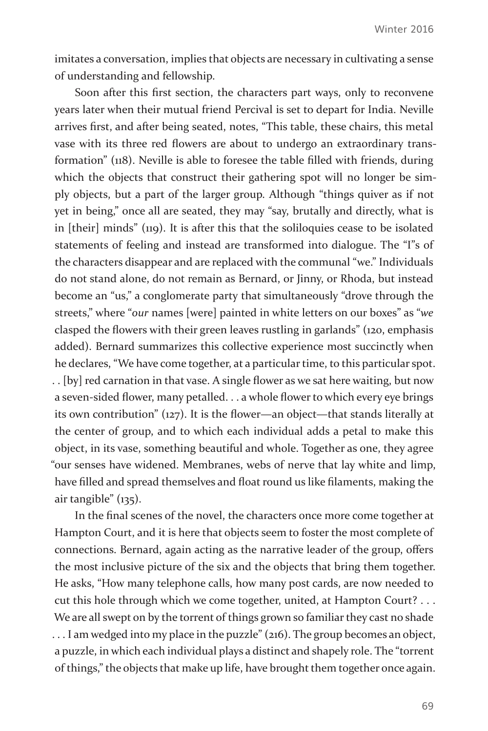imitates a conversation, implies that objects are necessary in cultivating a sense of understanding and fellowship.

Soon after this first section, the characters part ways, only to reconvene years later when their mutual friend Percival is set to depart for India. Neville arrives first, and after being seated, notes, "This table, these chairs, this metal vase with its three red flowers are about to undergo an extraordinary transformation" (118). Neville is able to foresee the table filled with friends, during which the objects that construct their gathering spot will no longer be simply objects, but a part of the larger group. Although "things quiver as if not yet in being," once all are seated, they may "say, brutally and directly, what is in [their] minds" (119). It is after this that the soliloquies cease to be isolated statements of feeling and instead are transformed into dialogue. The "I"s of the characters disappear and are replaced with the communal "we." Individuals do not stand alone, do not remain as Bernard, or Jinny, or Rhoda, but instead become an "us," a conglomerate party that simultaneously "drove through the streets," where "*our* names [were] painted in white letters on our boxes" as "*we* clasped the flowers with their green leaves rustling in garlands" (120, emphasis added). Bernard summarizes this collective experience most succinctly when he declares, "We have come together, at a particular time, to this particular spot. . . [by] red carnation in that vase. A single flower as we sat here waiting, but now a seven-sided flower, many petalled. . . a whole flower to which every eye brings its own contribution" (127). It is the flower—an object—that stands literally at the center of group, and to which each individual adds a petal to make this object, in its vase, something beautiful and whole. Together as one, they agree "our senses have widened. Membranes, webs of nerve that lay white and limp, have filled and spread themselves and float round us like filaments, making the air tangible" (135).

In the final scenes of the novel, the characters once more come together at Hampton Court, and it is here that objects seem to foster the most complete of connections. Bernard, again acting as the narrative leader of the group, offers the most inclusive picture of the six and the objects that bring them together. He asks, "How many telephone calls, how many post cards, are now needed to cut this hole through which we come together, united, at Hampton Court? . . . We are all swept on by the torrent of things grown so familiar they cast no shade . . . I am wedged into my place in the puzzle" (216). The group becomes an object, a puzzle, in which each individual plays a distinct and shapely role. The "torrent of things," the objects that make up life, have brought them together once again.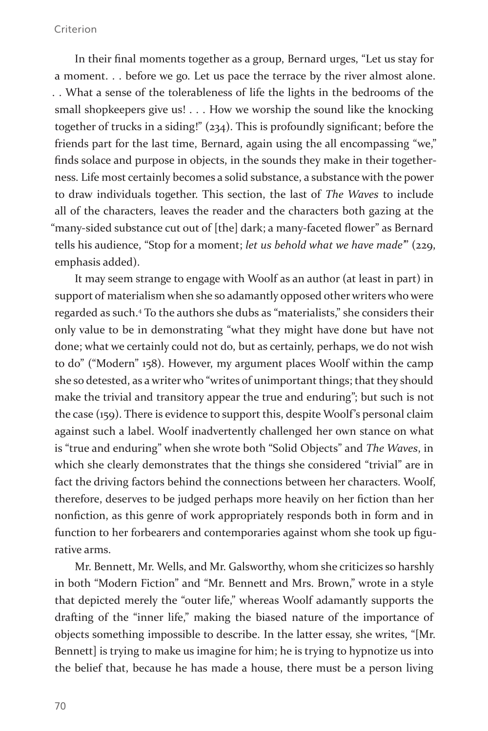In their final moments together as a group, Bernard urges, "Let us stay for a moment. . . before we go. Let us pace the terrace by the river almost alone. . . What a sense of the tolerableness of life the lights in the bedrooms of the small shopkeepers give us! . . . How we worship the sound like the knocking together of trucks in a siding!" (234). This is profoundly significant; before the friends part for the last time, Bernard, again using the all encompassing "we," finds solace and purpose in objects, in the sounds they make in their togetherness. Life most certainly becomes a solid substance, a substance with the power to draw individuals together. This section, the last of *The Waves* to include all of the characters, leaves the reader and the characters both gazing at the "many-sided substance cut out of [the] dark; a many-faceted flower" as Bernard tells his audience, "Stop for a moment; *let us behold what we have made"* (229, emphasis added).

It may seem strange to engage with Woolf as an author (at least in part) in support of materialism when she so adamantly opposed other writers who were regarded as such.4 To the authors she dubs as "materialists," she considers their only value to be in demonstrating "what they might have done but have not done; what we certainly could not do, but as certainly, perhaps, we do not wish to do" ("Modern" 158). However, my argument places Woolf within the camp she so detested, as a writer who "writes of unimportant things; that they should make the trivial and transitory appear the true and enduring"; but such is not the case (159). There is evidence to support this, despite Woolf's personal claim against such a label. Woolf inadvertently challenged her own stance on what is "true and enduring" when she wrote both "Solid Objects" and *The Waves*, in which she clearly demonstrates that the things she considered "trivial" are in fact the driving factors behind the connections between her characters. Woolf, therefore, deserves to be judged perhaps more heavily on her fiction than her nonfiction, as this genre of work appropriately responds both in form and in function to her forbearers and contemporaries against whom she took up figurative arms.

Mr. Bennett, Mr. Wells, and Mr. Galsworthy, whom she criticizes so harshly in both "Modern Fiction" and "Mr. Bennett and Mrs. Brown," wrote in a style that depicted merely the "outer life," whereas Woolf adamantly supports the drafting of the "inner life," making the biased nature of the importance of objects something impossible to describe. In the latter essay, she writes, "[Mr. Bennett] is trying to make us imagine for him; he is trying to hypnotize us into the belief that, because he has made a house, there must be a person living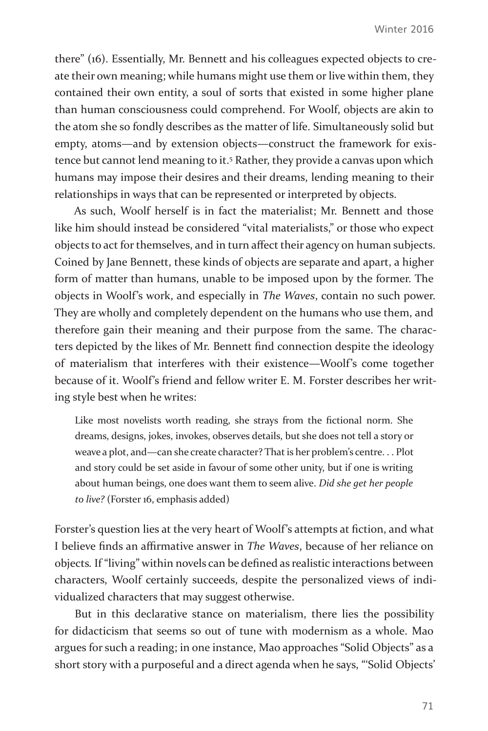there" (16). Essentially, Mr. Bennett and his colleagues expected objects to create their own meaning; while humans might use them or live within them, they contained their own entity, a soul of sorts that existed in some higher plane than human consciousness could comprehend. For Woolf, objects are akin to the atom she so fondly describes as the matter of life. Simultaneously solid but empty, atoms—and by extension objects—construct the framework for existence but cannot lend meaning to it.<sup>5</sup> Rather, they provide a canvas upon which humans may impose their desires and their dreams, lending meaning to their relationships in ways that can be represented or interpreted by objects.

As such, Woolf herself is in fact the materialist; Mr. Bennett and those like him should instead be considered "vital materialists," or those who expect objects to act for themselves, and in turn affect their agency on human subjects. Coined by Jane Bennett, these kinds of objects are separate and apart, a higher form of matter than humans, unable to be imposed upon by the former. The objects in Woolf's work, and especially in *The Waves*, contain no such power. They are wholly and completely dependent on the humans who use them, and therefore gain their meaning and their purpose from the same. The characters depicted by the likes of Mr. Bennett find connection despite the ideology of materialism that interferes with their existence—Woolf's come together because of it. Woolf's friend and fellow writer E. M. Forster describes her writing style best when he writes:

Like most novelists worth reading, she strays from the fictional norm. She dreams, designs, jokes, invokes, observes details, but she does not tell a story or weave a plot, and—can she create character? That is her problem's centre. . . Plot and story could be set aside in favour of some other unity, but if one is writing about human beings, one does want them to seem alive. *Did she get her people to live?* (Forster 16, emphasis added)

Forster's question lies at the very heart of Woolf's attempts at fiction, and what I believe finds an affirmative answer in *The Waves*, because of her reliance on objects*.* If "living" within novels can be defined as realistic interactions between characters, Woolf certainly succeeds, despite the personalized views of individualized characters that may suggest otherwise.

But in this declarative stance on materialism, there lies the possibility for didacticism that seems so out of tune with modernism as a whole. Mao argues for such a reading; in one instance, Mao approaches "Solid Objects" as a short story with a purposeful and a direct agenda when he says, "'Solid Objects'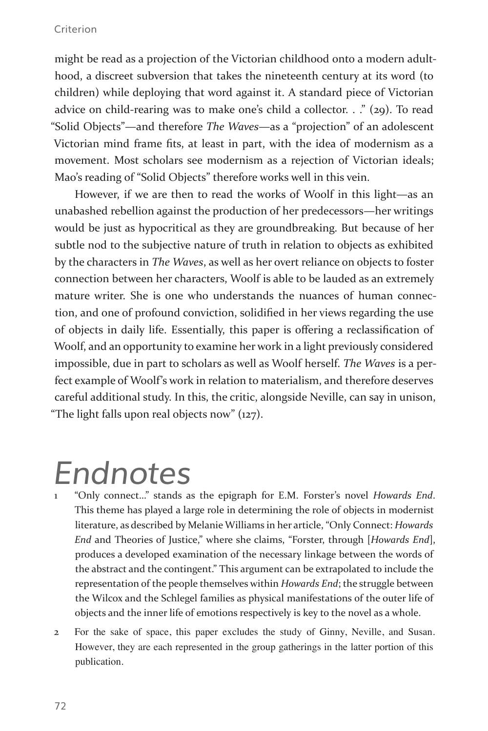might be read as a projection of the Victorian childhood onto a modern adulthood, a discreet subversion that takes the nineteenth century at its word (to children) while deploying that word against it. A standard piece of Victorian advice on child-rearing was to make one's child a collector. . ." (29). To read "Solid Objects"—and therefore *The Waves*—as a "projection" of an adolescent Victorian mind frame fits, at least in part, with the idea of modernism as a movement. Most scholars see modernism as a rejection of Victorian ideals; Mao's reading of "Solid Objects" therefore works well in this vein.

However, if we are then to read the works of Woolf in this light—as an unabashed rebellion against the production of her predecessors—her writings would be just as hypocritical as they are groundbreaking. But because of her subtle nod to the subjective nature of truth in relation to objects as exhibited by the characters in *The Waves*, as well as her overt reliance on objects to foster connection between her characters, Woolf is able to be lauded as an extremely mature writer. She is one who understands the nuances of human connection, and one of profound conviction, solidified in her views regarding the use of objects in daily life. Essentially, this paper is offering a reclassification of Woolf, and an opportunity to examine her work in a light previously considered impossible, due in part to scholars as well as Woolf herself. *The Waves* is a perfect example of Woolf's work in relation to materialism, and therefore deserves careful additional study. In this, the critic, alongside Neville, can say in unison, "The light falls upon real objects now" (127).

## *Endnotes*

- 1 "Only connect…" stands as the epigraph for E.M. Forster's novel *Howards End*. This theme has played a large role in determining the role of objects in modernist literature, as described by Melanie Williams in her article, "Only Connect: *Howards End* and Theories of Justice," where she claims, "Forster, through [*Howards End*], produces a developed examination of the necessary linkage between the words of the abstract and the contingent." This argument can be extrapolated to include the representation of the people themselves within *Howards End*; the struggle between the Wilcox and the Schlegel families as physical manifestations of the outer life of objects and the inner life of emotions respectively is key to the novel as a whole.
- 2 For the sake of space, this paper excludes the study of Ginny, Neville, and Susan. However, they are each represented in the group gatherings in the latter portion of this publication.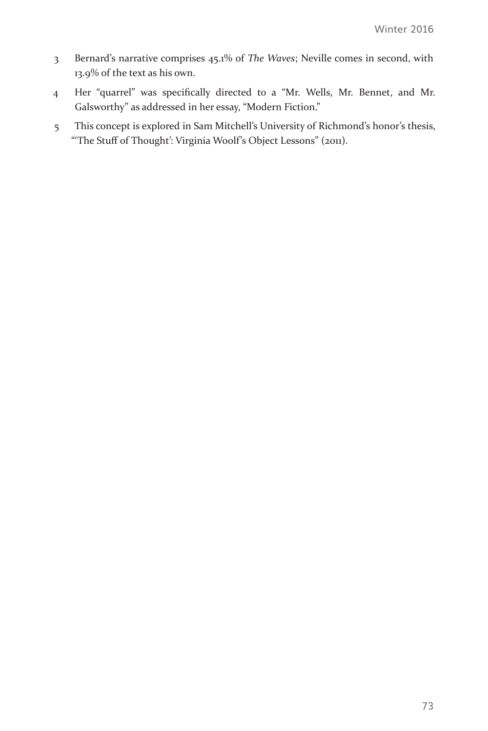- 3 Bernard's narrative comprises 45.1% of *The Waves*; Neville comes in second, with 13.9% of the text as his own.
- 4 Her "quarrel" was specifically directed to a "Mr. Wells, Mr. Bennet, and Mr. Galsworthy" as addressed in her essay, "Modern Fiction."
- 5 This concept is explored in Sam Mitchell's University of Richmond's honor's thesis, "'The Stuff of Thought': Virginia Woolf's Object Lessons" (2011).